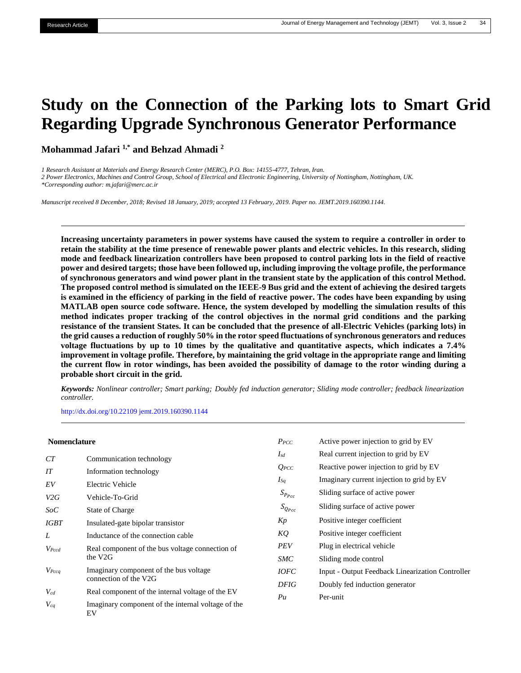# **Study on the Connection of the Parking lots to Smart Grid Regarding Upgrade Synchronous Generator Performance**

**Mohammad Jafari 1,\* and Behzad Ahmadi <sup>2</sup>**

*1 Research Assistant at Materials and Energy Research Center (MERC), P.O. Box: 14155-4777, Tehran, Iran.* 

*2 Power Electronics, Machines and Control Group, School of Electrical and Electronic Engineering, University of Nottingham, Nottingham, UK.*

*\*Corresponding author[: m.jafari@merc.ac.ir](mailto:m.jafari@merc.ac.)*

*Manuscript received 8 December, 2018; Revised 18 January, 2019; accepted 13 February, 2019. Paper no. JEMT.2019.160390.1144.*

**Increasing uncertainty parameters in power systems have caused the system to require a controller in order to retain the stability at the time presence of renewable power plants and electric vehicles. In this research, sliding mode and feedback linearization controllers have been proposed to control parking lots in the field of reactive power and desired targets; those have been followed up, including improving the voltage profile, the performance of synchronous generators and wind power plant in the transient state by the application of this control Method. The proposed control method is simulated on the IEEE-9 Bus grid and the extent of achieving the desired targets is examined in the efficiency of parking in the field of reactive power. The codes have been expanding by using MATLAB open source code software. Hence, the system developed by modelling the simulation results of this method indicates proper tracking of the control objectives in the normal grid conditions and the parking resistance of the transient States. It can be concluded that the presence of all-Electric Vehicles (parking lots) in the grid causes a reduction of roughly 50% in the rotor speed fluctuations of synchronous generators and reduces voltage fluctuations by up to 10 times by the qualitative and quantitative aspects, which indicates a 7.4% improvement in voltage profile. Therefore, by maintaining the grid voltage in the appropriate range and limiting the current flow in rotor windings, has been avoided the possibility of damage to the rotor winding during a probable short circuit in the grid.**

*Keywords: Nonlinear controller; Smart parking; Doubly fed induction generator; Sliding mode controller; feedback linearization controller.*

[http://dx.doi.org/10.22109 jemt.2019.160390.1144](http://dx.doi.org/10.22109%20jemt.2019.160390.1144)

| <b>Nomenclature</b> |                                                                 | $P_{PCC}$                                                                          | Active power injection to grid by EV                    |
|---------------------|-----------------------------------------------------------------|------------------------------------------------------------------------------------|---------------------------------------------------------|
| CT                  | Communication technology                                        | $I_{sd}$                                                                           | Real current injection to grid by EV                    |
| IT                  | Information technology                                          | $Q_{PCC}$                                                                          | Reactive power injection to grid by EV                  |
| EV                  | Electric Vehicle                                                | $I_{Sq}$                                                                           | Imaginary current injection to grid by EV               |
| V2G                 | Vehicle-To-Grid                                                 | $S_{P_{Pcc}}$                                                                      | Sliding surface of active power                         |
| SoC                 | State of Charge                                                 | $S_{Q_{Pcc}}$                                                                      | Sliding surface of active power                         |
| <b>IGBT</b>         | Insulated-gate bipolar transistor                               | Kp                                                                                 | Positive integer coefficient                            |
| L                   | Inductance of the connection cable                              | KQ                                                                                 | Positive integer coefficient                            |
| $V_{Pccd}$          | Real component of the bus voltage connection of                 | <b>PEV</b>                                                                         | Plug in electrical vehicle                              |
|                     | the V <sub>2G</sub>                                             | <b>SMC</b><br>Sliding mode control<br><i>IOFC</i><br><b>DFIG</b><br>Pu<br>Per-unit |                                                         |
| $V_{Pccq}$          | Imaginary component of the bus voltage<br>connection of the V2G |                                                                                    | <b>Input - Output Feedback Linearization Controller</b> |
|                     |                                                                 |                                                                                    | Doubly fed induction generator                          |
| $V_{cd}$            | Real component of the internal voltage of the EV                |                                                                                    |                                                         |
| $V_{cq}$            | Imaginary component of the internal voltage of the<br>EV        |                                                                                    |                                                         |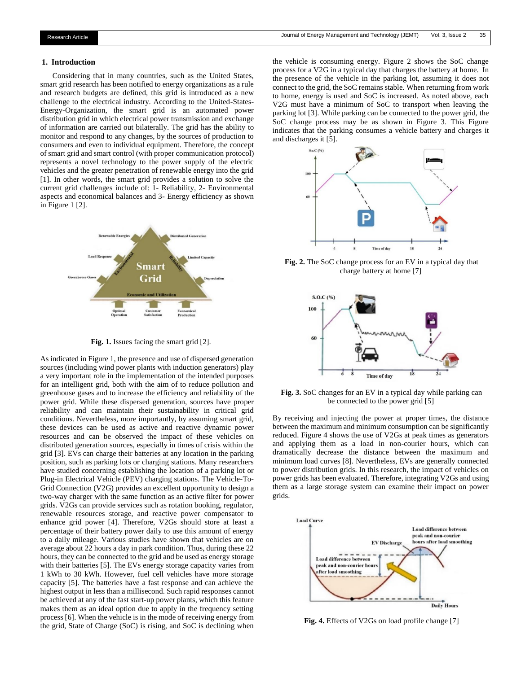#### **1. Introduction**

Considering that in many countries, such as the United States, smart grid research has been notified to energy organizations as a rule and research budgets are defined, this grid is introduced as a new challenge to the electrical industry. According to the United-States-Energy-Organization, the smart grid is an automated power distribution grid in which electrical power transmission and exchange of information are carried out bilaterally. The grid has the ability to monitor and respond to any changes, by the sources of production to consumers and even to individual equipment. Therefore, the concept of smart grid and smart control (with proper communication protocol) represents a novel technology to the power supply of the electric vehicles and the greater penetration of renewable energy into the grid [1]. In other words, the smart grid provides a solution to solve the current grid challenges include of: 1- Reliability, 2- Environmental aspects and economical balances and 3- Energy efficiency as shown in Figure 1 [2].



**Fig. 1.** Issues facing the smart grid [2].

As indicated in Figure 1, the presence and use of dispersed generation sources (including wind power plants with induction generators) play a very important role in the implementation of the intended purposes for an intelligent grid, both with the aim of to reduce pollution and greenhouse gases and to increase the efficiency and reliability of the power grid. While these dispersed generation, sources have proper reliability and can maintain their sustainability in critical grid conditions. Nevertheless, more importantly, by assuming smart grid, these devices can be used as active and reactive dynamic power resources and can be observed the impact of these vehicles on distributed generation sources, especially in times of crisis within the grid [3]. EVs can charge their batteries at any location in the parking position, such as parking lots or charging stations. Many researchers have studied concerning establishing the location of a parking lot or Plug-in Electrical Vehicle (PEV) charging stations. The Vehicle-To-Grid Connection (V2G) provides an excellent opportunity to design a two-way charger with the same function as an active filter for power grids. V2Gs can provide services such as rotation booking, regulator, renewable resources storage, and reactive power compensator to enhance grid power [4]. Therefore, V2Gs should store at least a percentage of their battery power daily to use this amount of energy to a daily mileage. Various studies have shown that vehicles are on average about 22 hours a day in park condition. Thus, during these 22 hours, they can be connected to the grid and be used as energy storage with their batteries [5]. The EVs energy storage capacity varies from 1 kWh to 30 kWh. However, fuel cell vehicles have more storage capacity [5]. The batteries have a fast response and can achieve the highest output in less than a millisecond. Such rapid responses cannot be achieved at any of the fast start-up power plants, which this feature makes them as an ideal option due to apply in the frequency setting process [6]. When the vehicle is in the mode of receiving energy from the grid, State of Charge (SoC) is rising, and SoC is declining when

the vehicle is consuming energy. Figure 2 shows the SoC change process for a V2G in a typical day that charges the battery at home. In the presence of the vehicle in the parking lot, assuming it does not connect to the grid, the SoC remains stable. When returning from work to home, energy is used and SoC is increased. As noted above, each V2G must have a minimum of SoC to transport when leaving the parking lot [3]. While parking can be connected to the power grid, the SoC change process may be as shown in Figure 3. This Figure indicates that the parking consumes a vehicle battery and charges it and discharges it [5].



**Fig. 2.** The SoC change process for an EV in a typical day that charge battery at home [7]



**Fig. 3.** SoC changes for an EV in a typical day while parking can be connected to the power grid [5]

By receiving and injecting the power at proper times, the distance between the maximum and minimum consumption can be significantly reduced. Figure 4 shows the use of V2Gs at peak times as generators and applying them as a load in non-courier hours, which can dramatically decrease the distance between the maximum and minimum load curves [8]. Nevertheless, EVs are generally connected to power distribution grids. In this research, the impact of vehicles on power grids has been evaluated. Therefore, integrating V2Gs and using them as a large storage system can examine their impact on power grids.



**Fig. 4.** Effects of V2Gs on load profile change [7]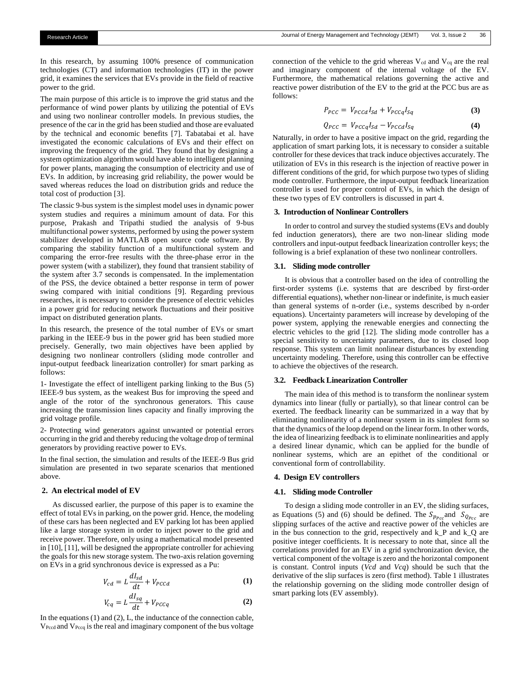In this research, by assuming 100% presence of communication technologies (CT) and information technologies (IT) in the power grid, it examines the services that EVs provide in the field of reactive power to the grid.

The main purpose of this article is to improve the grid status and the performance of wind power plants by utilizing the potential of EVs and using two nonlinear controller models. In previous studies, the presence of the car in the grid has been studied and those are evaluated by the technical and economic benefits [7]. Tabatabai et al. have investigated the economic calculations of EVs and their effect on improving the frequency of the grid. They found that by designing a system optimization algorithm would have able to intelligent planning for power plants, managing the consumption of electricity and use of EVs. In addition, by increasing grid reliability, the power would be saved whereas reduces the load on distribution grids and reduce the total cost of production [3].

The classic 9-bus system is the simplest model uses in dynamic power system studies and requires a minimum amount of data. For this purpose, Prakash and Tripathi studied the analysis of 9-bus multifunctional power systems, performed by using the power system stabilizer developed in MATLAB open source code software. By comparing the stability function of a multifunctional system and comparing the error-free results with the three-phase error in the power system (with a stabilizer), they found that transient stability of the system after 3.7 seconds is compensated. In the implementation of the PSS, the device obtained a better response in term of power swing compared with initial conditions [9]. Regarding previous researches, it is necessary to consider the presence of electric vehicles in a power grid for reducing network fluctuations and their positive impact on distributed generation plants.

In this research, the presence of the total number of EVs or smart parking in the IEEE-9 bus in the power grid has been studied more precisely. Generally, two main objectives have been applied by designing two nonlinear controllers (sliding mode controller and input-output feedback linearization controller) for smart parking as follows:

1- Investigate the effect of intelligent parking linking to the Bus (5) IEEE-9 bus system, as the weakest Bus for improving the speed and angle of the rotor of the synchronous generators. This cause increasing the transmission lines capacity and finally improving the grid voltage profile.

2- Protecting wind generators against unwanted or potential errors occurring in the grid and thereby reducing the voltage drop of terminal generators by providing reactive power to EVs.

In the final section, the simulation and results of the IEEE-9 Bus grid simulation are presented in two separate scenarios that mentioned above.

#### **2. An electrical model of EV**

As discussed earlier, the purpose of this paper is to examine the effect of total EVs in parking, on the power grid. Hence, the modeling of these cars has been neglected and EV parking lot has been applied like a large storage system in order to inject power to the grid and receive power. Therefore, only using a mathematical model presented in [10], [11], will be designed the appropriate controller for achieving the goals for this new storage system. The two-axis relation governing on EVs in a grid synchronous device is expressed as a Pu:

$$
V_{cd} = L\frac{dI_{sd}}{dt} + V_{PCcd}
$$
 (1)

$$
V_{cq} = L\frac{dI_{sq}}{dt} + V_{PCCq}
$$
 (2)

In the equations (1) and (2), L, the inductance of the connection cable, VPccd and VPccq is the real and imaginary component of the bus voltage

connection of the vehicle to the grid whereas  $V_{cd}$  and  $V_{cq}$  are the real and imaginary component of the internal voltage of the EV. Furthermore, the mathematical relations governing the active and reactive power distribution of the EV to the grid at the PCC bus are as follows:

$$
P_{PCC} = V_{PCCd}I_{Sd} + V_{PCCq}I_{Sq}
$$
 (3)

$$
Q_{PCC} = V_{PCCq}I_{Sd} - V_{PCCd}I_{Sq}
$$
 (4)

Naturally, in order to have a positive impact on the grid, regarding the application of smart parking lots, it is necessary to consider a suitable controller for these devices that track induce objectives accurately. The utilization of EVs in this research is the injection of reactive power in different conditions of the grid, for which purpose two types of sliding mode controller. Furthermore, the input-output feedback linearization controller is used for proper control of EVs, in which the design of these two types of EV controllers is discussed in part 4.

#### **3. Introduction of Nonlinear Controllers**

In order to control and survey the studied systems (EVs and doubly fed induction generators), there are two non-linear sliding mode controllers and input-output feedback linearization controller keys; the following is a brief explanation of these two nonlinear controllers.

#### **3.1. Sliding mode controller**

It is obvious that a controller based on the idea of controlling the first-order systems (i.e. systems that are described by first-order differential equations), whether non-linear or indefinite, is much easier than general systems of n-order (i.e., systems described by n-order equations). Uncertainty parameters will increase by developing of the power system, applying the renewable energies and connecting the electric vehicles to the grid [12]. The sliding mode controller has a special sensitivity to uncertainty parameters, due to its closed loop response. This system can limit nonlinear disturbances by extending uncertainty modeling. Therefore, using this controller can be effective to achieve the objectives of the research.

#### **3.2. Feedback Linearization Controller**

The main idea of this method is to transform the nonlinear system dynamics into linear (fully or partially), so that linear control can be exerted. The feedback linearity can be summarized in a way that by eliminating nonlinearity of a nonlinear system in its simplest form so that the dynamics of the loop depend on the linear form. In other words, the idea of linearizing feedback is to eliminate nonlinearities and apply a desired linear dynamic, which can be applied for the bundle of nonlinear systems, which are an epithet of the conditional or conventional form of controllability.

### **4. Design EV controllers**

# **4.1. Sliding mode Controller**

To design a sliding mode controller in an EV, the sliding surfaces, as Equations (5) and (6) should be defined. The  $S_{p_{Pcc}}$  and  $S_{Q_{Pcc}}$  are slipping surfaces of the active and reactive power of the vehicles are in the bus connection to the grid, respectively and k\_P and k\_Q are positive integer coefficients. It is necessary to note that, since all the correlations provided for an EV in a grid synchronization device, the vertical component of the voltage is zero and the horizontal component is constant. Control inputs (*Vcd* and *Vcq*) should be such that the derivative of the slip surfaces is zero (first method). Table 1 illustrates the relationship governing on the sliding mode controller design of smart parking lots (EV assembly).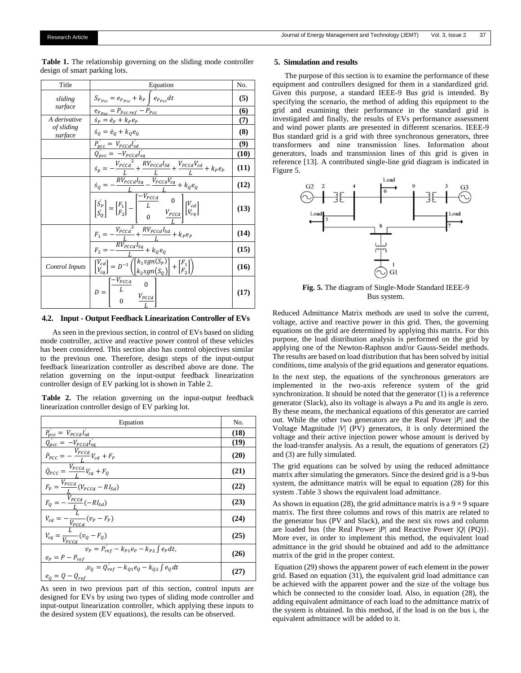Table 1. The relationship governing on the sliding mode controller design of smart parking lots.

| Title                 | Equation                                                                                                                                                                                                                                 | No.  |
|-----------------------|------------------------------------------------------------------------------------------------------------------------------------------------------------------------------------------------------------------------------------------|------|
| sliding               | $S_{P_{Pcc}} = e_{P_{Pcc}} + k_P \int e_{P_{Pcc}} dt$                                                                                                                                                                                    | (5)  |
| surface               | $e_{P_{Pcc}} = P_{Pcc\,ref} - P_{Pcc}$                                                                                                                                                                                                   | (6)  |
| A derivative          | $\dot{s}_P = \dot{e}_P + k_P e_P$                                                                                                                                                                                                        | (7)  |
| of sliding<br>surface | $\dot{s}_Q = \dot{e}_Q + k_Q e_Q$                                                                                                                                                                                                        | (8)  |
|                       | $P_{pcc} = V_{PCCd}I_{sd}$                                                                                                                                                                                                               | (9)  |
|                       |                                                                                                                                                                                                                                          | (10) |
|                       | $\frac{\overline{Q_{pcc}} = -V_{pccd}I_{sq}}{\dot{s}_n = -\frac{V_{pccd}I_{sq}}{t} + \frac{RV_{pccd}I_{sd}}{L} + \frac{V_{pccd}V_{cd}}{L} + k_{p}e_p}$                                                                                   | (11) |
|                       | $\frac{L}{RV_{PCCd}I_{sq}} - \frac{V_{PCCd}V_{cq}}{V_{PCCd}I_{eq}} + k_0e_0$<br>$\dot{s}_Q = \dot{ }$                                                                                                                                    | (12) |
|                       | $\begin{bmatrix} \dot{S_P} \\ \dot{S_O} \end{bmatrix} = \begin{bmatrix} F_1 \\ F_2 \end{bmatrix} - \begin{bmatrix} \frac{-V_{PCcd}}{L} & 0 \\ 0 & V_{PCcd} \\ 0 & V_{PCcd} \end{bmatrix} \begin{bmatrix} V_{cd} \\ V_{cq} \end{bmatrix}$ | (13) |
|                       | $-\frac{V_{p_{CC}a}^{2}}{L}+\frac{RV_{p_{CC}a}I_{Sd}}{L}+k_{P}e_{P}$<br>$F_1 = \cdot$                                                                                                                                                    | (14) |
|                       | $\frac{L}{RV_{\underline{p_{CC}d}}I_{\underline{sq}}} + k_{\mathcal{Q}}e_{\mathcal{Q}}$<br>F <sub>2</sub>                                                                                                                                | (15) |
| Control Inputs        | $\begin{bmatrix} V_{cd} \\ V_{cq} \end{bmatrix} = D^{-1} \left( \begin{bmatrix} k_1sgn(\overline{S_P}) \\ k_2sgn(S_O) \end{bmatrix} + \begin{bmatrix} F_1 \\ F_2 \end{bmatrix} \right)$                                                  | (16) |
|                       | $-V_{PCCd}$<br>$\mathbf{0}$<br>$D =$<br>$V_{PCCd}$                                                                                                                                                                                       | (17) |

# **4.2. Input - Output Feedback Linearization Controller of EVs**

As seen in the previous section, in control of EVs based on sliding mode controller, active and reactive power control of these vehicles has been considered. This section also has control objectives similar to the previous one. Therefore, design steps of the input-output feedback linearization controller as described above are done. The relation governing on the input-output feedback linearization controller design of EV parking lot is shown in Table 2.

**Table 2.** The relation governing on the input-output feedback linearization controller design of EV parking lot.

| Equation                                                                          | No.  |
|-----------------------------------------------------------------------------------|------|
| $P_{pcc} = V_{pccd}I_{sd}$                                                        | (18) |
| $Q_{pcc} = -V_{pccd}I_{sq}$                                                       | (19) |
| $\dot{P}_{PCC} = -\frac{V_{PCCd}}{I}V_{cd} + F_P$                                 | (20) |
| $\overline{\dot{Q}_{PCC}} = \frac{\dot{V}_{PCCd}}{L}V_{cq} + F_Q$                 | (21) |
| $F_P = \frac{V_{PCCd}}{I} (V_{PCCd} - RI_{Sd})$                                   | (22) |
| $F_Q = -\frac{V_{PCCd}}{I}(-RI_{Sd})$                                             | (23) |
| $V_{cd} = -\frac{E}{V_{p, c, d}} (v_p - F_p)$                                     | (24) |
| $V_{cq} = \frac{V_{p_{c}c}}{V_{p_{c}c}} (v_{Q} - F_{Q})$                          | (25) |
| $v_P = P_{ref} - k_{P1}e_P - k_{P2} \int e_P dt$ ,<br>$e_P = P - P_{ref}$         | (26) |
| $\overline{v_0} = Q_{ref} - k_{Q1}e_Q - k_{Q2}\int e_Q dt$<br>$e_0 = Q - Q_{ref}$ | (27) |

As seen in two previous part of this section, control inputs are designed for EVs by using two types of sliding mode controller and input-output linearization controller, which applying these inputs to the desired system (EV equations), the results can be observed.

#### **5. Simulation and results**

The purpose of this section is to examine the performance of these equipment and controllers designed for them in a standardized grid. Given this purpose, a standard IEEE-9 Bus grid is intended. By specifying the scenario, the method of adding this equipment to the grid and examining their performance in the standard grid is investigated and finally, the results of EVs performance assessment and wind power plants are presented in different scenarios. IEEE-9 Bus standard grid is a grid with three synchronous generators, three transformers and nine transmission lines. Information about generators, loads and transmission lines of this grid is given in reference [13]. A contributed single-line grid diagram is indicated in Figure 5.



**Fig. 5.** The diagram of Single-Mode Standard IEEE-9 Bus system.

Reduced Admittance Matrix methods are used to solve the current, voltage, active and reactive power in this grid. Then, the governing equations on the grid are determined by applying this matrix. For this purpose, the load distribution analysis is performed on the grid by applying one of the Newton-Raphson and/or Gauss-Seidel methods. The results are based on load distribution that has been solved by initial conditions, time analysis of the grid equations and generator equations.

In the next step, the equations of the synchronous generators are implemented in the two-axis reference system of the grid synchronization. It should be noted that the generator (1) is a reference generator (Slack), also its voltage is always a Pu and its angle is zero. By these means, the mechanical equations of this generator are carried out. While the other two generators are the Real Power |*P*| and the Voltage Magnitude |*V*| (PV) generators, it is only determined the voltage and their active injection power whose amount is derived by the load-transfer analysis. As a result, the equations of generators (2) and (3) are fully simulated.

The grid equations can be solved by using the reduced admittance matrix after simulating the generators. Since the desired grid is a 9-bus system, the admittance matrix will be equal to equation (28) for this system .Table 3 shows the equivalent load admittance.

As shown in equation (28), the grid admittance matrix is a  $9 \times 9$  square matrix. The first three columns and rows of this matrix are related to the generator bus (PV and Slack), and the next six rows and column are loaded bus {the Real Power |*P*| and Reactive Power |*Q*| (PQ)}. More ever, in order to implement this method, the equivalent load admittance in the grid should be obtained and add to the admittance matrix of the grid in the proper context.

Equation (29) shows the apparent power of each element in the power grid. Based on equation (31), the equivalent grid load admittance can be achieved with the apparent power and the size of the voltage bus which be connected to the consider load. Also, in equation (28), the adding equivalent admittance of each load to the admittance matrix of the system is obtained. In this method, if the load is on the bus i, the equivalent admittance will be added to it.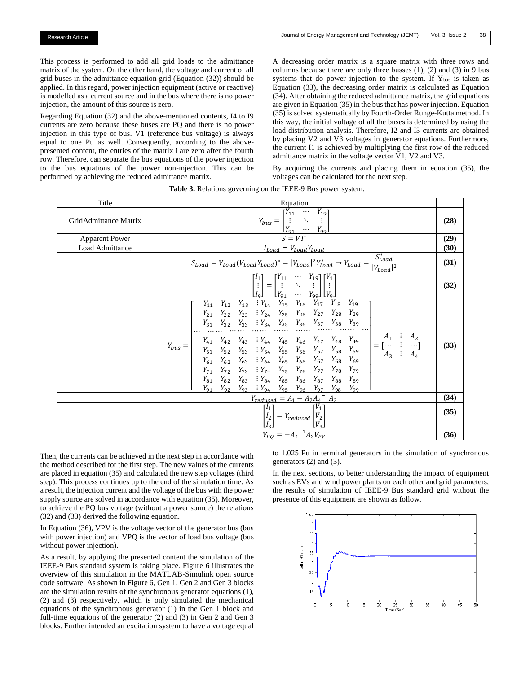This process is performed to add all grid loads to the admittance matrix of the system. On the other hand, the voltage and current of all grid buses in the admittance equation grid (Equation (32)) should be applied. In this regard, power injection equipment (active or reactive) is modelled as a current source and in the bus where there is no power injection, the amount of this source is zero.

Regarding Equation (32) and the above-mentioned contents, I4 to I9 currents are zero because these buses are PQ and there is no power injection in this type of bus. V1 (reference bus voltage) is always equal to one Pu as well. Consequently, according to the abovepresented content, the entries of the matrix i are zero after the fourth row. Therefore, can separate the bus equations of the power injection to the bus equations of the power non-injection. This can be performed by achieving the reduced admittance matrix.

A decreasing order matrix is a square matrix with three rows and columns because there are only three busses (1), (2) and (3) in 9 bus systems that do power injection to the system. If  $Y_{\text{bus}}$  is taken as Equation (33), the decreasing order matrix is calculated as Equation (34). After obtaining the reduced admittance matrix, the grid equations are given in Equation (35) in the bus that has power injection. Equation (35) is solved systematically by Fourth-Order Runge-Kutta method. In this way, the initial voltage of all the buses is determined by using the load distribution analysis. Therefore, I2 and I3 currents are obtained by placing V2 and V3 voltages in generator equations. Furthermore, the current I1 is achieved by multiplying the first row of the reduced admittance matrix in the voltage vector V1, V2 and V3.

By acquiring the currents and placing them in equation (35), the voltages can be calculated for the next step.

| Title                 | Equation                                                                                                                                                                                                                                                                                                                                                                                                                                                                                                                                                                                                                                                                                                                                                               |      |  |
|-----------------------|------------------------------------------------------------------------------------------------------------------------------------------------------------------------------------------------------------------------------------------------------------------------------------------------------------------------------------------------------------------------------------------------------------------------------------------------------------------------------------------------------------------------------------------------------------------------------------------------------------------------------------------------------------------------------------------------------------------------------------------------------------------------|------|--|
| GridAdmittance Matrix | $Y_{bus} = \begin{bmatrix} Y_{11} & \cdots & Y_{19} \\ \vdots & \ddots & \vdots \end{bmatrix}$<br>$[Y_{\mathsf{q}_1} \cdots Y_{\mathsf{q}_\mathsf{q}_n}]$                                                                                                                                                                                                                                                                                                                                                                                                                                                                                                                                                                                                              |      |  |
| <b>Apparent Power</b> | $S = VI^*$                                                                                                                                                                                                                                                                                                                                                                                                                                                                                                                                                                                                                                                                                                                                                             |      |  |
| Load Admittance       | $I_{Load} = V_{Load} Y_{Load}$                                                                                                                                                                                                                                                                                                                                                                                                                                                                                                                                                                                                                                                                                                                                         | (30) |  |
|                       | $S_{Load} = V_{Load}(V_{Load}Y_{Load})^* =  V_{Load} ^2 Y_{Load}^* \rightarrow Y_{Load} = \frac{S_{Load}^*}{ V_{Load} ^2}$                                                                                                                                                                                                                                                                                                                                                                                                                                                                                                                                                                                                                                             |      |  |
|                       | $\begin{bmatrix} I_1 \\ \vdots \\ I_9 \end{bmatrix} = \begin{bmatrix} Y_{11} & \cdots & Y_{19} \\ \vdots & \ddots & \vdots \\ Y_{91} & \cdots & Y_{99} \end{bmatrix} \begin{bmatrix} V_1 \\ \vdots \\ V_9 \end{bmatrix}$                                                                                                                                                                                                                                                                                                                                                                                                                                                                                                                                               | (32) |  |
|                       | $Y_{11}$ $Y_{12}$ $Y_{13}$ $Y_{14}$ $Y_{15}$ $Y_{16}$ $Y_{17}$ $Y_{18}$ $Y_{19}$<br>$Y_{21} \quad Y_{22} \quad Y_{23} \quad \vdots \\ Y_{24} \quad Y_{25} \quad Y_{26} \quad Y_{27} \quad Y_{28} \quad Y_{29}$<br>$Y_{bus} = \left  \begin{array}{cccccc} Y_{41} & Y_{42} & Y_{43} & \vdots & Y_{44} & Y_{45} & Y_{46} & Y_{47} & Y_{48} & Y_{49} \\ Y_{51} & Y_{52} & Y_{53} & \vdots & Y_{54} & Y_{55} & Y_{56} & Y_{57} & Y_{58} & Y_{59} \\ Y_{61} & Y_{62} & Y_{63} & \vdots & Y_{64} & Y_{65} & Y_{66} & Y_{67} & Y_{68} & Y_{69} \\ Y_{71} & Y_{72} & Y_{73} & \vdots & Y_{74} & Y_{$<br>$Y_{81}$ $Y_{82}$ $Y_{83}$ $: Y_{84}$ $Y_{85}$ $Y_{86}$ $Y_{87}$ $Y_{88}$ $Y_{89}$<br>$Y_{91}$ $Y_{92}$ $Y_{93}$ $Y_{94}$ $Y_{95}$ $Y_{96}$ $Y_{97}$ $Y_{98}$ $Y_{99}$ | (33) |  |
|                       |                                                                                                                                                                                                                                                                                                                                                                                                                                                                                                                                                                                                                                                                                                                                                                        |      |  |
|                       | $\frac{Y_{reduced} = A_1 - A_2 A_4^{-1} A_3}{\begin{bmatrix} I_1 \\ I_2 \\ I_3 \end{bmatrix}} = Y_{reduced} \begin{bmatrix} V_1 \\ V_2 \\ V_3 \end{bmatrix}$                                                                                                                                                                                                                                                                                                                                                                                                                                                                                                                                                                                                           | (35) |  |
|                       | $V_{PO} = -A_4^{-1}A_3V_{PV}$                                                                                                                                                                                                                                                                                                                                                                                                                                                                                                                                                                                                                                                                                                                                          | (36) |  |

**Table 3.** Relations governing on the IEEE-9 Bus power system.

Then, the currents can be achieved in the next step in accordance with the method described for the first step. The new values of the currents are placed in equation (35) and calculated the new step voltages (third step). This process continues up to the end of the simulation time. As a result, the injection current and the voltage of the bus with the power supply source are solved in accordance with equation (35). Moreover, to achieve the PQ bus voltage (without a power source) the relations (32) and (33) derived the following equation.

In Equation (36), VPV is the voltage vector of the generator bus (bus with power injection) and VPQ is the vector of load bus voltage (bus without power injection).

As a result, by applying the presented content the simulation of the IEEE-9 Bus standard system is taking place. Figure 6 illustrates the overview of this simulation in the MATLAB-Simulink open source code software. As shown in Figure 6, Gen 1, Gen 2 and Gen 3 blocks are the simulation results of the synchronous generator equations (1), (2) and (3) respectively, which is only simulated the mechanical equations of the synchronous generator (1) in the Gen 1 block and full-time equations of the generator (2) and (3) in Gen 2 and Gen 3 blocks. Further intended an excitation system to have a voltage equal

to 1.025 Pu in terminal generators in the simulation of synchronous generators (2) and (3).

In the next sections, to better understanding the impact of equipment such as EVs and wind power plants on each other and grid parameters, the results of simulation of IEEE-9 Bus standard grid without the presence of this equipment are shown as follow.

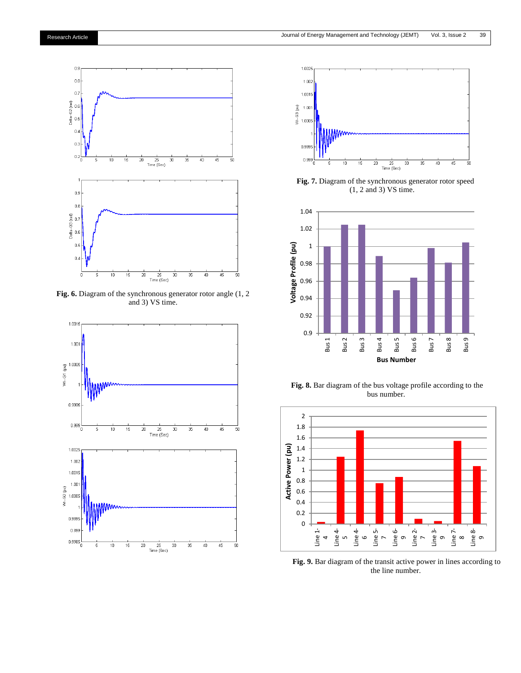

**Fig. 6.** Diagram of the synchronous generator rotor angle (1, 2 and 3) VS time.





 **Fig. 7.** Diagram of the synchronous generator rotor speed (1, 2 and 3) VS time.



**Fig. 8.** Bar diagram of the bus voltage profile according to the bus number.



**Fig. 9.** Bar diagram of the transit active power in lines according to the line number.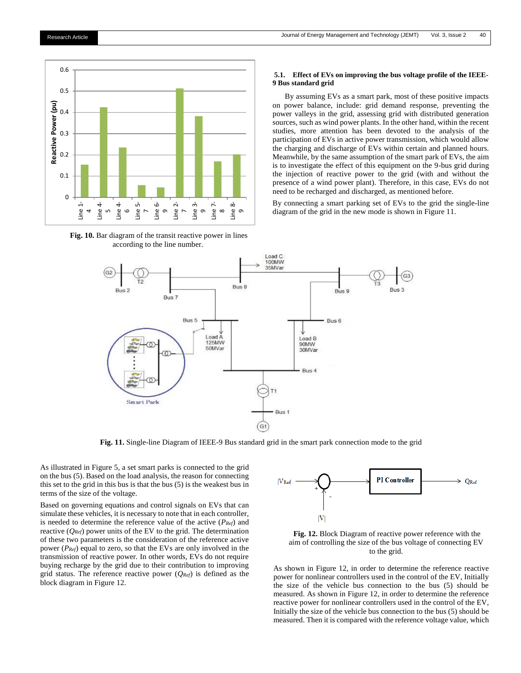

**Fig. 10.** Bar diagram of the transit reactive power in lines according to the line number.

# **5.1. Effect of EVs on improving the bus voltage profile of the IEEE-9 Bus standard grid**

By assuming EVs as a smart park, most of these positive impacts on power balance, include: grid demand response, preventing the power valleys in the grid, assessing grid with distributed generation sources, such as wind power plants. In the other hand, within the recent studies, more attention has been devoted to the analysis of the participation of EVs in active power transmission, which would allow the charging and discharge of EVs within certain and planned hours. Meanwhile, by the same assumption of the smart park of EVs, the aim is to investigate the effect of this equipment on the 9-bus grid during the injection of reactive power to the grid (with and without the presence of a wind power plant). Therefore, in this case, EVs do not need to be recharged and discharged, as mentioned before.

By connecting a smart parking set of EVs to the grid the single-line diagram of the grid in the new mode is shown in Figure 11.



**Fig. 11.** Single-line Diagram of IEEE-9 Bus standard grid in the smart park connection mode to the grid

As illustrated in Figure 5, a set smart parks is connected to the grid on the bus (5). Based on the load analysis, the reason for connecting this set to the grid in this bus is that the bus (5) is the weakest bus in terms of the size of the voltage.

Based on governing equations and control signals on EVs that can simulate these vehicles, it is necessary to note that in each controller, is needed to determine the reference value of the active (*PRef*) and reactive  $(Q_{Ref})$  power units of the EV to the grid. The determination of these two parameters is the consideration of the reference active power (*PRef*) equal to zero, so that the EVs are only involved in the transmission of reactive power. In other words, EVs do not require buying recharge by the grid due to their contribution to improving grid status. The reference reactive power  $(Q_{Ref})$  is defined as the block diagram in Figure 12.



**Fig. 12.** Block Diagram of reactive power reference with the aim of controlling the size of the bus voltage of connecting EV to the grid.

As shown in Figure 12, in order to determine the reference reactive power for nonlinear controllers used in the control of the EV, Initially the size of the vehicle bus connection to the bus (5) should be measured. As shown in Figure 12, in order to determine the reference reactive power for nonlinear controllers used in the control of the EV, Initially the size of the vehicle bus connection to the bus (5) should be measured. Then it is compared with the reference voltage value, which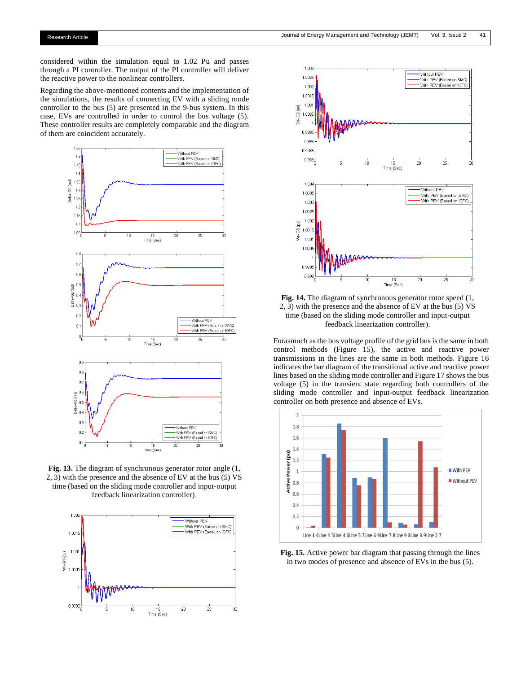considered within the simulation equal to 1.02 Pu and passes through a PI controller. The output of the PI controller will deliver the reactive power to the nonlinear controllers.

Regarding the above-mentioned contents and the implementation of the simulations, the results of connecting EV with a sliding mode controller to the bus (5) are presented in the 9-bus system. In this case, EVs are controlled in order to control the bus voltage (5). These controller results are completely comparable and the diagram of them are coincident accurately.



**Fig. 13.** The diagram of synchronous generator rotor angle (1, 2, 3) with the presence and the absence of EV at the bus (5) VS time (based on the sliding mode controller and input-output feedback linearization controller).





**Fig. 14.** The diagram of synchronous generator rotor speed (1, 2, 3) with the presence and the absence of EV at the bus (5) VS time (based on the sliding mode controller and input-output feedback linearization controller).

Forasmuch as the bus voltage profile of the grid bus is the same in both control methods (Figure 15), the active and reactive power transmissions in the lines are the same in both methods. Figure 16 indicates the bar diagram of the transitional active and reactive power lines based on the sliding mode controller and Figure 17 shows the bus voltage (5) in the transient state regarding both controllers of the sliding mode controller and input-output feedback linearization controller on both presence and absence of EVs.



**Fig. 15.** Active power bar diagram that passing through the lines in two modes of presence and absence of EVs in the bus (5).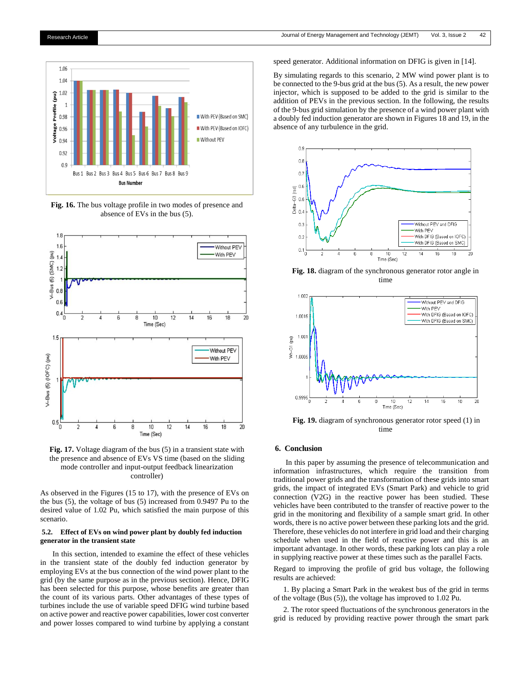

**Fig. 16.** The bus voltage profile in two modes of presence and absence of EVs in the bus (5).





As observed in the Figures (15 to 17), with the presence of EVs on the bus (5), the voltage of bus (5) increased from 0.9497 Pu to the desired value of 1.02 Pu, which satisfied the main purpose of this scenario.

# **5.2. Effect of EVs on wind power plant by doubly fed induction generator in the transient state**

In this section, intended to examine the effect of these vehicles in the transient state of the doubly fed induction generator by employing EVs at the bus connection of the wind power plant to the grid (by the same purpose as in the previous section). Hence, DFIG has been selected for this purpose, whose benefits are greater than the count of its various parts. Other advantages of these types of turbines include the use of variable speed DFIG wind turbine based on active power and reactive power capabilities, lower cost converter and power losses compared to wind turbine by applying a constant

speed generator. Additional information on DFIG is given in [14].

By simulating regards to this scenario, 2 MW wind power plant is to be connected to the 9-bus grid at the bus (5). As a result, the new power injector, which is supposed to be added to the grid is similar to the addition of PEVs in the previous section. In the following, the results of the 9-bus grid simulation by the presence of a wind power plant with a doubly fed induction generator are shown in Figures 18 and 19, in the absence of any turbulence in the grid.



**Fig. 18.** diagram of the synchronous generator rotor angle in time



**Fig. 19.** diagram of synchronous generator rotor speed (1) in time

# **6. Conclusion**

In this paper by assuming the presence of telecommunication and information infrastructures, which require the transition from traditional power grids and the transformation of these grids into smart grids, the impact of integrated EVs (Smart Park) and vehicle to grid connection (V2G) in the reactive power has been studied. These vehicles have been contributed to the transfer of reactive power to the grid in the monitoring and flexibility of a sample smart grid. In other words, there is no active power between these parking lots and the grid. Therefore, these vehicles do not interfere in grid load and their charging schedule when used in the field of reactive power and this is an important advantage. In other words, these parking lots can play a role in supplying reactive power at these times such as the parallel Facts.

Regard to improving the profile of grid bus voltage, the following results are achieved:

 1. By placing a Smart Park in the weakest bus of the grid in terms of the voltage (Bus (5)), the voltage has improved to 1.02 Pu.

 2. The rotor speed fluctuations of the synchronous generators in the grid is reduced by providing reactive power through the smart park